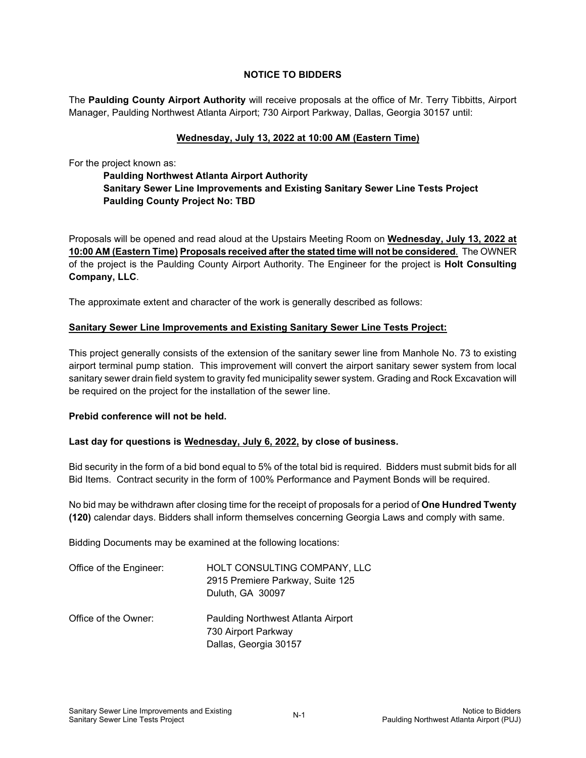# **NOTICE TO BIDDERS**

The **Paulding County Airport Authority** will receive proposals at the office of Mr. Terry Tibbitts, Airport Manager, Paulding Northwest Atlanta Airport; 730 Airport Parkway, Dallas, Georgia 30157 until:

### **Wednesday, July 13, 2022 at 10:00 AM (Eastern Time)**

For the project known as:

# **Paulding Northwest Atlanta Airport Authority Sanitary Sewer Line Improvements and Existing Sanitary Sewer Line Tests Project Paulding County Project No: TBD**

Proposals will be opened and read aloud at the Upstairs Meeting Room on **Wednesday, July 13, 2022 at 10:00 AM (Eastern Time) Proposals received after the stated time will not be considered**. The OWNER of the project is the Paulding County Airport Authority. The Engineer for the project is **Holt Consulting Company, LLC**.

The approximate extent and character of the work is generally described as follows:

#### **Sanitary Sewer Line Improvements and Existing Sanitary Sewer Line Tests Project:**

This project generally consists of the extension of the sanitary sewer line from Manhole No. 73 to existing airport terminal pump station. This improvement will convert the airport sanitary sewer system from local sanitary sewer drain field system to gravity fed municipality sewer system. Grading and Rock Excavation will be required on the project for the installation of the sewer line.

#### **Prebid conference will not be held.**

## **Last day for questions is Wednesday, July 6, 2022, by close of business.**

Bid security in the form of a bid bond equal to 5% of the total bid is required. Bidders must submit bids for all Bid Items. Contract security in the form of 100% Performance and Payment Bonds will be required.

No bid may be withdrawn after closing time for the receipt of proposals for a period of **One Hundred Twenty (120)** calendar days. Bidders shall inform themselves concerning Georgia Laws and comply with same.

Bidding Documents may be examined at the following locations:

| Office of the Engineer: | HOLT CONSULTING COMPANY, LLC<br>2915 Premiere Parkway, Suite 125<br>Duluth, GA 30097 |
|-------------------------|--------------------------------------------------------------------------------------|
| Office of the Owner:    | Paulding Northwest Atlanta Airport<br>730 Airport Parkway<br>Dallas, Georgia 30157   |